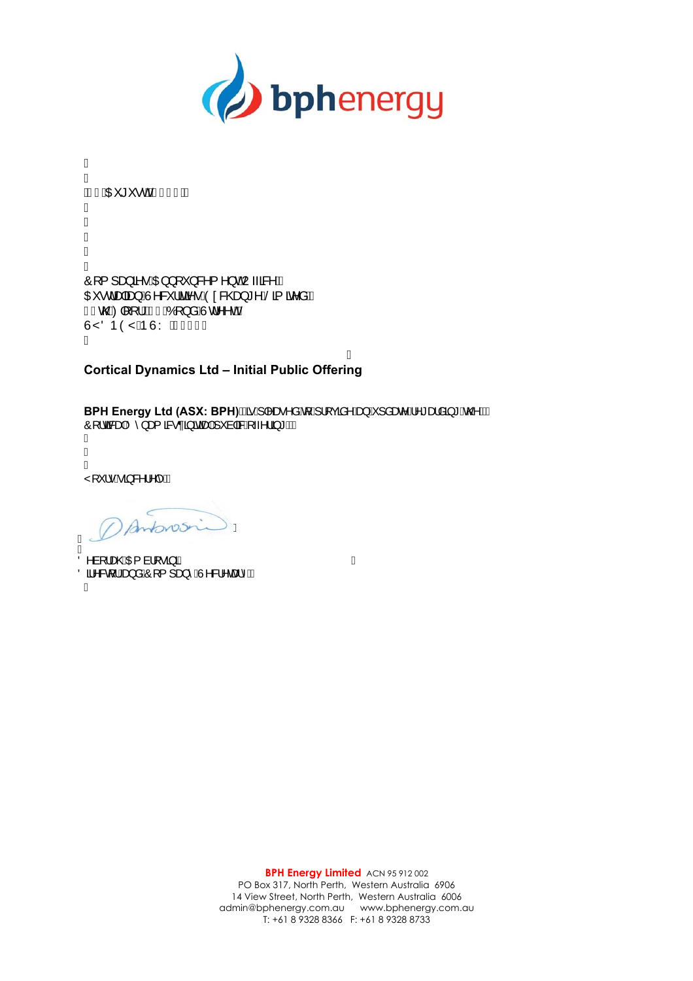

Á Á ÁFÎ ÁDE \* \* • O ÁKG <del>E</del>FFÁÁ I I I I Á  $\hat{O}$ [{]  $\Rightarrow$   $\hat{A} \cdot \hat{A} \cdot \hat{B}$  } [  $\hat{O}$  } & { ^}  $\hat{O}$   $\hat{A}$   $\rightarrow$   $\hat{A} \times \hat{A}$ OE · dapang AN & laat · AD a & Cag \* ^ AS a a a AA F€coolo][[¦ÉtG€ÁÓ[}åÁÙd^^oÁ ÙŸÖÞŎŸÁÞÙY Á<del>SECE</del>Á Á

Á

## **Cortical Dynamics Ltd – Initial Public Offering**

**BPH Energy Ltd (ASX: BPH) ASA A Mas A SA A HELDO CEA A A SA A SA A A SA A K A MA**  $\hat{O}$ [  $\hat{a}$  as  $\hat{A}$  as  $\hat{a}$  as  $\hat{a}$  and  $\hat{a}$   $\hat{a}$   $\hat{a}$   $\hat{a}$   $\hat{b}$   $\hat{b}$   $\hat{c}$   $\hat{c}$   $\hat{b}$   $\hat{c}$   $\hat{c}$   $\hat{c}$   $\hat{c}$   $\hat{c}$   $\hat{c}$   $\hat{c}$   $\hat{c}$   $\hat{c}$   $\hat{c}$   $\hat{c}$   $\hat{c}$ Á Â Á Ÿ[ \* | • Á ã & | ^|^  $\tilde{\mathbb{A}}$ 

 $A$  Montovosne

A<br>Ö^à[¦æ©ÁQE{à¦[∙ã]ã Oan & The and Conditional And Catherine Á

Á